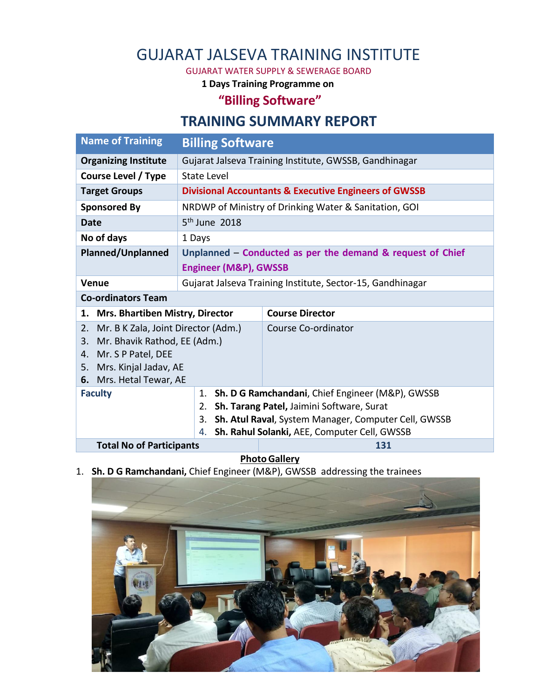## GUJARAT JALSEVA TRAINING INSTITUTE

GUJARAT WATER SUPPLY & SEWERAGE BOARD

**1 Days Training Programme on** 

## **"Billing Software"**

## **TRAINING SUMMARY REPORT**

| <b>Name of Training</b>                                 | <b>Billing Software</b>                                          |                                                  |
|---------------------------------------------------------|------------------------------------------------------------------|--------------------------------------------------|
| <b>Organizing Institute</b>                             | Gujarat Jalseva Training Institute, GWSSB, Gandhinagar           |                                                  |
| Course Level / Type                                     | State Level                                                      |                                                  |
| <b>Target Groups</b>                                    | <b>Divisional Accountants &amp; Executive Engineers of GWSSB</b> |                                                  |
| <b>Sponsored By</b>                                     | NRDWP of Ministry of Drinking Water & Sanitation, GOI            |                                                  |
| <b>Date</b>                                             | $5th$ June 2018                                                  |                                                  |
| No of days                                              | 1 Days                                                           |                                                  |
| Planned/Unplanned                                       | Unplanned – Conducted as per the demand & request of Chief       |                                                  |
|                                                         | <b>Engineer (M&amp;P), GWSSB</b>                                 |                                                  |
| <b>Venue</b>                                            | Gujarat Jalseva Training Institute, Sector-15, Gandhinagar       |                                                  |
| <b>Co-ordinators Team</b>                               |                                                                  |                                                  |
| <b>Mrs. Bhartiben Mistry, Director</b><br>1.            |                                                                  | <b>Course Director</b>                           |
| Mr. B K Zala, Joint Director (Adm.)<br>2.               |                                                                  | Course Co-ordinator                              |
| Mr. Bhavik Rathod, EE (Adm.)<br>3.                      |                                                                  |                                                  |
| Mr. S P Patel, DEE<br>4.<br>Mrs. Kinjal Jadav, AE<br>5. |                                                                  |                                                  |
| Mrs. Hetal Tewar, AE<br>6.                              |                                                                  |                                                  |
| <b>Faculty</b>                                          | 1.                                                               | Sh. D G Ramchandani, Chief Engineer (M&P), GWSSB |
| Sh. Tarang Patel, Jaimini Software, Surat<br>2.         |                                                                  |                                                  |
|                                                         | Sh. Atul Raval, System Manager, Computer Cell, GWSSB<br>3.       |                                                  |
| Sh. Rahul Solanki, AEE, Computer Cell, GWSSB<br>4.      |                                                                  |                                                  |
| <b>Total No of Participants</b>                         |                                                                  | 131                                              |

**Photo Gallery** 

1. **Sh. D G Ramchandani,** Chief Engineer (M&P), GWSSB addressing the trainees